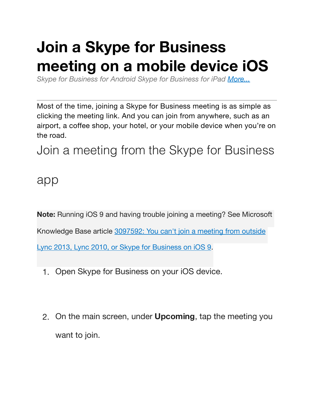## **Join a Skype for Business meeting on a mobile device iOS**

*Skype for Business for Android Skype for Business for iPad [More...](javascript:)*

Most of the time, joining a Skype for Business meeting is as simple as clicking the meeting link. And you can join from anywhere, such as an airport, a coffee shop, your hotel, or your mobile device when you're on the road.

Join a meeting from the Skype for Business

app

**Note:** Running iOS 9 and having trouble joining a meeting? See Microsoft

Knowledge Base article [3097592: You can't join a meeting from outside](https://support.microsoft.com/en-us/kb/3097592) 

[Lync 2013, Lync 2010, or Skype for Business on iOS 9.](https://support.microsoft.com/en-us/kb/3097592)

- 1. Open Skype for Business on your iOS device.
- 2. On the main screen, under **Upcoming**, tap the meeting you want to join.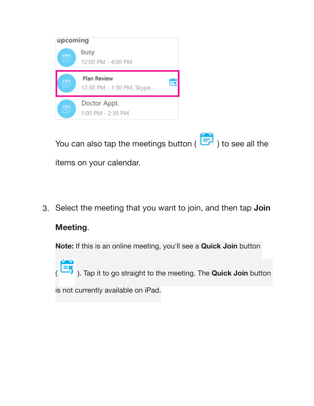

| You can also tap the meetings button $\begin{pmatrix} 1 & 1 \\ 0 & 1 \end{pmatrix}$ to see all the |  |
|----------------------------------------------------------------------------------------------------|--|
| items on your calendar.                                                                            |  |

3. Select the meeting that you want to join, and then tap **Join** 

## **Meeting**.

**Note:** If this is an online meeting, you'll see a **Quick Join** button



is not currently available on iPad.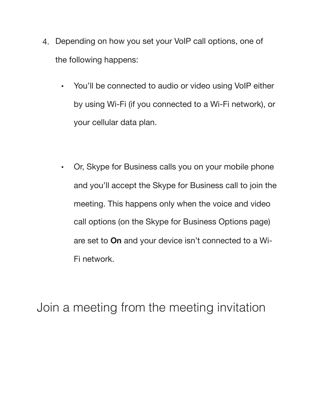- 4. Depending on how you set your VoIP call options, one of the following happens:
	- You'll be connected to audio or video using VoIP either by using Wi-Fi (if you connected to a Wi-Fi network), or your cellular data plan.
	- Or, Skype for Business calls you on your mobile phone and you'll accept the Skype for Business call to join the meeting. This happens only when the voice and video call options (on the Skype for Business Options page) are set to **On** and your device isn't connected to a Wi-Fi network.

Join a meeting from the meeting invitation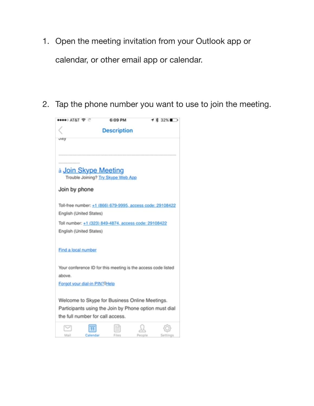- 1. Open the meeting invitation from your Outlook app or calendar, or other email app or calendar.
- 2. Tap the phone number you want to use to join the meeting.

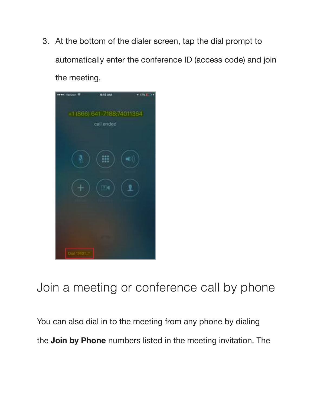3. At the bottom of the dialer screen, tap the dial prompt to automatically enter the conference ID (access code) and join the meeting.



## Join a meeting or conference call by phone

You can also dial in to the meeting from any phone by dialing the **Join by Phone** numbers listed in the meeting invitation. The